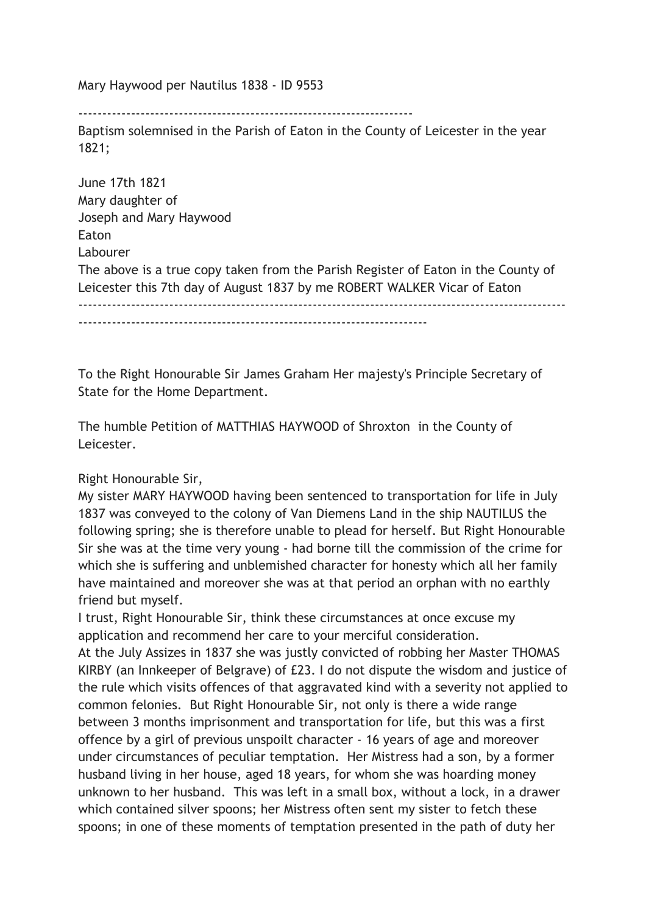Mary Haywood per Nautilus 1838 - ID 9553

----------------------------------------------------------------------

Baptism solemnised in the Parish of Eaton in the County of Leicester in the year 1821;

June 17th 1821 Mary daughter of Joseph and Mary Haywood Eaton Labourer The above is a true copy taken from the Parish Register of Eaton in the County of Leicester this 7th day of August 1837 by me ROBERT WALKER Vicar of Eaton ------------------------------------------------------------------------------------------------------  $-$ 

To the Right Honourable Sir James Graham Her majesty's Principle Secretary of State for the Home Department.

The humble Petition of MATTHIAS HAYWOOD of Shroxton in the County of Leicester.

## Right Honourable Sir,

My sister MARY HAYWOOD having been sentenced to transportation for life in July 1837 was conveyed to the colony of Van Diemens Land in the ship NAUTILUS the following spring; she is therefore unable to plead for herself. But Right Honourable Sir she was at the time very young - had borne till the commission of the crime for which she is suffering and unblemished character for honesty which all her family have maintained and moreover she was at that period an orphan with no earthly friend but myself.

I trust, Right Honourable Sir, think these circumstances at once excuse my application and recommend her care to your merciful consideration.

At the July Assizes in 1837 she was justly convicted of robbing her Master THOMAS KIRBY (an Innkeeper of Belgrave) of £23. I do not dispute the wisdom and justice of the rule which visits offences of that aggravated kind with a severity not applied to common felonies. But Right Honourable Sir, not only is there a wide range between 3 months imprisonment and transportation for life, but this was a first offence by a girl of previous unspoilt character - 16 years of age and moreover under circumstances of peculiar temptation. Her Mistress had a son, by a former husband living in her house, aged 18 years, for whom she was hoarding money unknown to her husband. This was left in a small box, without a lock, in a drawer which contained silver spoons; her Mistress often sent my sister to fetch these spoons; in one of these moments of temptation presented in the path of duty her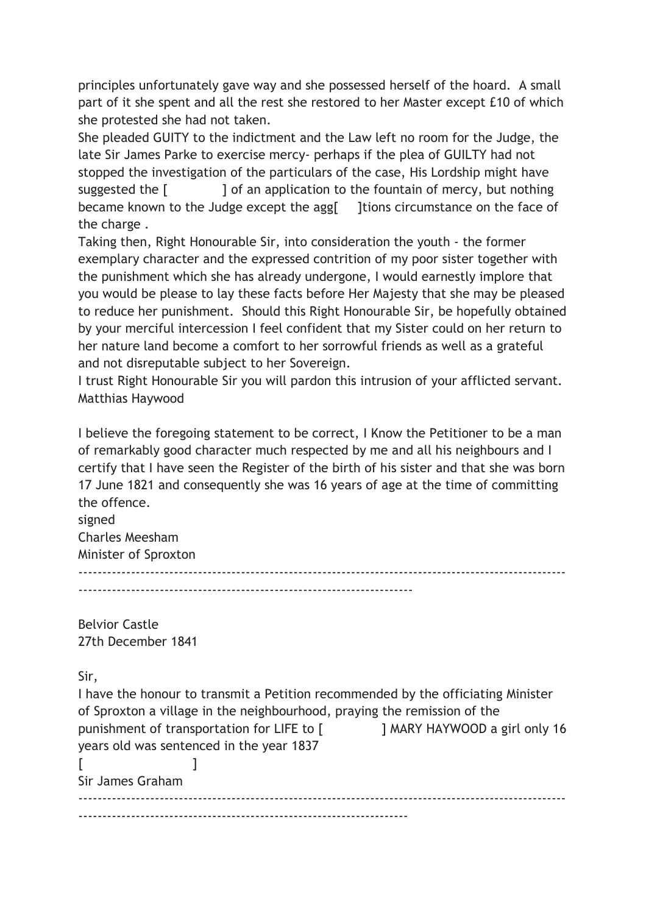principles unfortunately gave way and she possessed herself of the hoard. A small part of it she spent and all the rest she restored to her Master except £10 of which she protested she had not taken.

She pleaded GUITY to the indictment and the Law left no room for the Judge, the late Sir James Parke to exercise mercy- perhaps if the plea of GUILTY had not stopped the investigation of the particulars of the case, His Lordship might have suggested the [ ] of an application to the fountain of mercy, but nothing became known to the Judge except the agg[ ]tions circumstance on the face of the charge .

Taking then, Right Honourable Sir, into consideration the youth - the former exemplary character and the expressed contrition of my poor sister together with the punishment which she has already undergone, I would earnestly implore that you would be please to lay these facts before Her Majesty that she may be pleased to reduce her punishment. Should this Right Honourable Sir, be hopefully obtained by your merciful intercession I feel confident that my Sister could on her return to her nature land become a comfort to her sorrowful friends as well as a grateful and not disreputable subject to her Sovereign.

I trust Right Honourable Sir you will pardon this intrusion of your afflicted servant. Matthias Haywood

I believe the foregoing statement to be correct, I Know the Petitioner to be a man of remarkably good character much respected by me and all his neighbours and I certify that I have seen the Register of the birth of his sister and that she was born 17 June 1821 and consequently she was 16 years of age at the time of committing the offence.

signed Charles Meesham Minister of Sproxton ------------------------------------------------------------------------------------------------------ ----------------------------------------------------------------------

Belvior Castle 27th December 1841

Sir,

I have the honour to transmit a Petition recommended by the officiating Minister of Sproxton a village in the neighbourhood, praying the remission of the punishment of transportation for LIFE to [ ] MARY HAYWOOD a girl only 16 years old was sentenced in the year 1837  $[$   $]$ Sir James Graham ------------------------------------------------------------------------------------------------------  $-$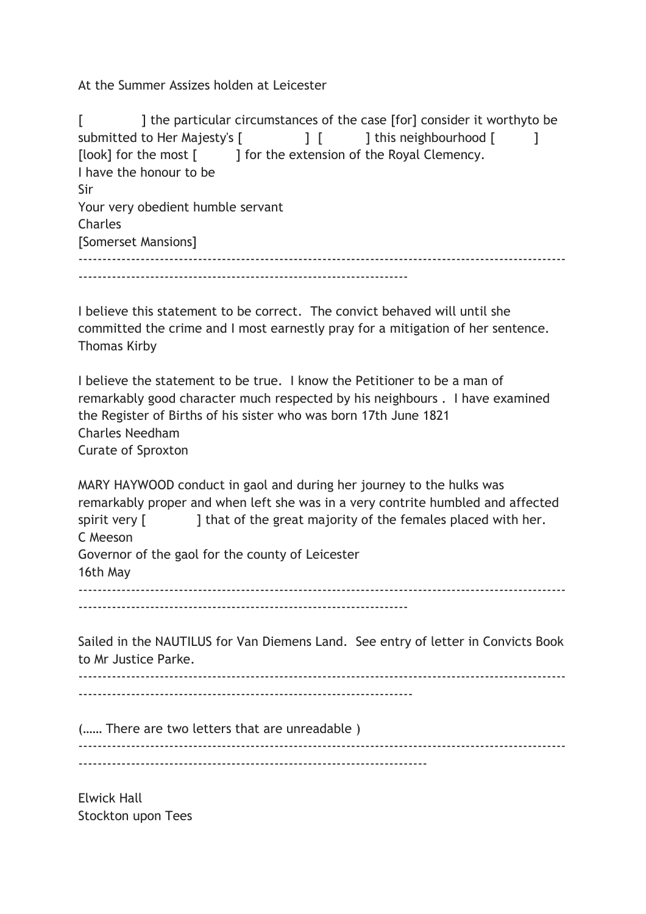At the Summer Assizes holden at Leicester

[  $\blacksquare$  ] the particular circumstances of the case [for] consider it worthyto be submitted to Her Majesty's [  $\qquad$  ] [ ] this neighbourhood [ ] [look] for the most [ ] for the extension of the Royal Clemency. I have the honour to be Sir Your very obedient humble servant **Charles** [Somerset Mansions] ------------------------------------------------------------------------------------------------------ ---------------------------------------------------------------------

I believe this statement to be correct. The convict behaved will until she committed the crime and I most earnestly pray for a mitigation of her sentence. Thomas Kirby

I believe the statement to be true. I know the Petitioner to be a man of remarkably good character much respected by his neighbours . I have examined the Register of Births of his sister who was born 17th June 1821 Charles Needham Curate of Sproxton

MARY HAYWOOD conduct in gaol and during her journey to the hulks was remarkably proper and when left she was in a very contrite humbled and affected spirit very [ ] that of the great majority of the females placed with her. C Meeson Governor of the gaol for the county of Leicester 16th May ------------------------------------------------------------------------------------------------------ ---------------------------------------------------------------------

Sailed in the NAUTILUS for Van Diemens Land. See entry of letter in Convicts Book to Mr Justice Parke.

------------------------------------------------------------------------------------------------------ ----------------------------------------------------------------------

(…… There are two letters that are unreadable ) ------------------------------------------------------------------------------------------------------  $-$ 

Elwick Hall Stockton upon Tees